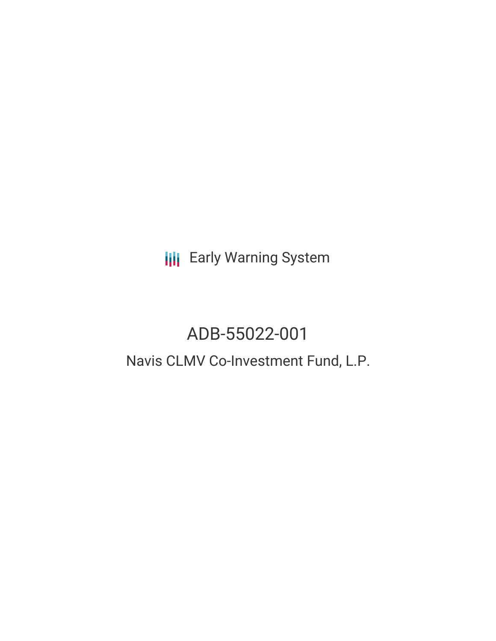**III** Early Warning System

# ADB-55022-001

## Navis CLMV Co-Investment Fund, L.P.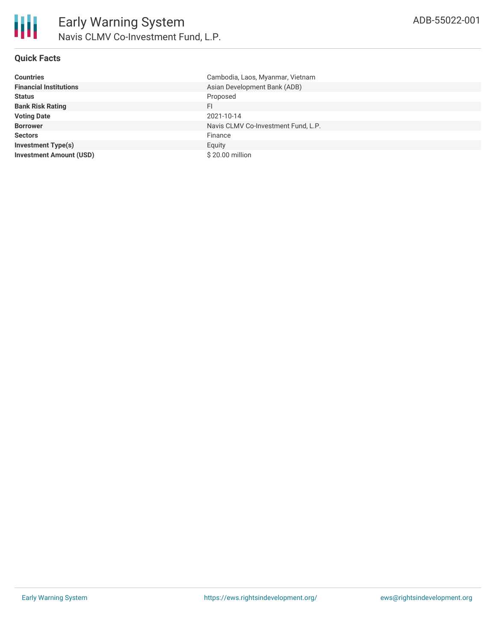#### **Quick Facts**

| <b>Countries</b>               | Cambodia, Laos, Myanmar, Vietnam    |
|--------------------------------|-------------------------------------|
| <b>Financial Institutions</b>  | Asian Development Bank (ADB)        |
| <b>Status</b>                  | Proposed                            |
| <b>Bank Risk Rating</b>        | FI                                  |
| <b>Voting Date</b>             | 2021-10-14                          |
| <b>Borrower</b>                | Navis CLMV Co-Investment Fund, L.P. |
| <b>Sectors</b>                 | Finance                             |
| <b>Investment Type(s)</b>      | Equity                              |
| <b>Investment Amount (USD)</b> | \$20.00 million                     |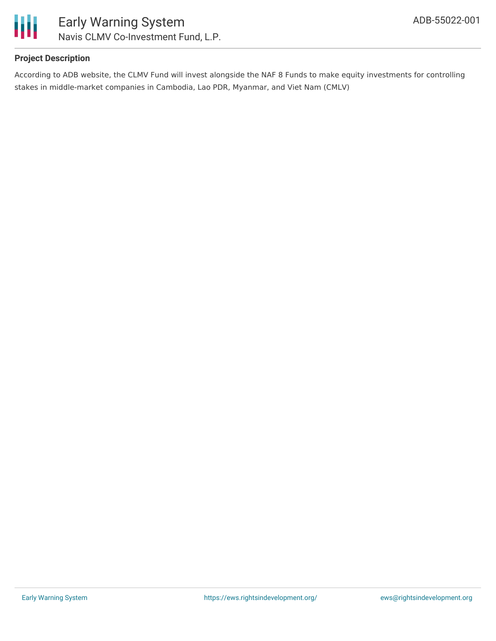

#### **Project Description**

According to ADB website, the CLMV Fund will invest alongside the NAF 8 Funds to make equity investments for controlling stakes in middle-market companies in Cambodia, Lao PDR, Myanmar, and Viet Nam (CMLV)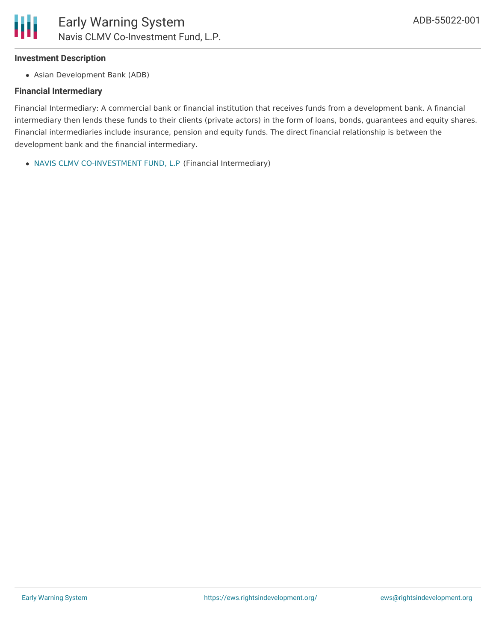#### **Investment Description**

Asian Development Bank (ADB)

#### **Financial Intermediary**

Financial Intermediary: A commercial bank or financial institution that receives funds from a development bank. A financial intermediary then lends these funds to their clients (private actors) in the form of loans, bonds, guarantees and equity shares. Financial intermediaries include insurance, pension and equity funds. The direct financial relationship is between the development bank and the financial intermediary.

NAVIS CLMV [CO-INVESTMENT](file:///actor/3620/) FUND, L.P (Financial Intermediary)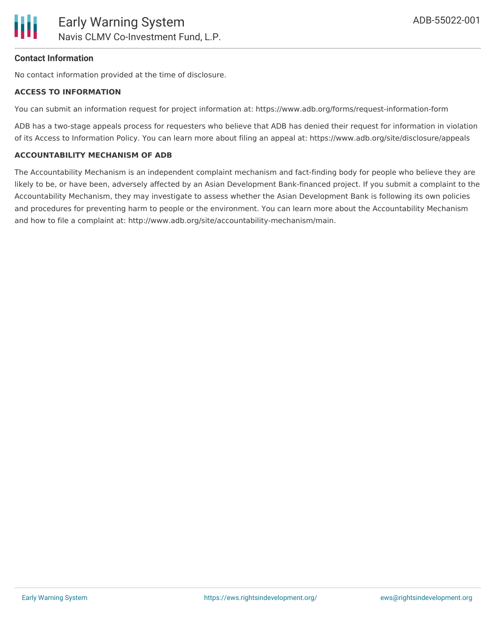#### **Contact Information**

No contact information provided at the time of disclosure.

#### **ACCESS TO INFORMATION**

You can submit an information request for project information at: https://www.adb.org/forms/request-information-form

ADB has a two-stage appeals process for requesters who believe that ADB has denied their request for information in violation of its Access to Information Policy. You can learn more about filing an appeal at: https://www.adb.org/site/disclosure/appeals

#### **ACCOUNTABILITY MECHANISM OF ADB**

The Accountability Mechanism is an independent complaint mechanism and fact-finding body for people who believe they are likely to be, or have been, adversely affected by an Asian Development Bank-financed project. If you submit a complaint to the Accountability Mechanism, they may investigate to assess whether the Asian Development Bank is following its own policies and procedures for preventing harm to people or the environment. You can learn more about the Accountability Mechanism and how to file a complaint at: http://www.adb.org/site/accountability-mechanism/main.